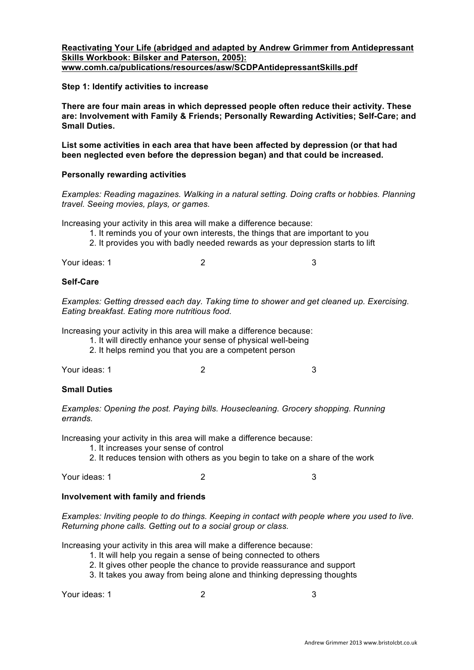### **Reactivating Your Life (abridged and adapted by Andrew Grimmer from Antidepressant Skills Workbook: Bilsker and Paterson, 2005): www.comh.ca/publications/resources/asw/SCDPAntidepressantSkills.pdf**

## **Step 1: Identify activities to increase**

**There are four main areas in which depressed people often reduce their activity. These are: Involvement with Family & Friends; Personally Rewarding Activities; Self-Care; and Small Duties.**

**List some activities in each area that have been affected by depression (or that had been neglected even before the depression began) and that could be increased.**

## **Personally rewarding activities**

*Examples: Reading magazines. Walking in a natural setting. Doing crafts or hobbies. Planning travel. Seeing movies, plays, or games.*

Increasing your activity in this area will make a difference because:

- 1. It reminds you of your own interests, the things that are important to you
- 2. It provides you with badly needed rewards as your depression starts to lift

Your ideas: 1 3

## **Self-Care**

*Examples: Getting dressed each day. Taking time to shower and get cleaned up. Exercising. Eating breakfast. Eating more nutritious food.* 

Increasing your activity in this area will make a difference because:

1. It will directly enhance your sense of physical well-being

2. It helps remind you that you are a competent person

Your ideas: 1 3

### **Small Duties**

*Examples: Opening the post. Paying bills. Housecleaning. Grocery shopping. Running errands.*

Increasing your activity in this area will make a difference because:

- 1. It increases your sense of control
- 2. It reduces tension with others as you begin to take on a share of the work

Your ideas: 1 2 3

### **Involvement with family and friends**

*Examples: Inviting people to do things. Keeping in contact with people where you used to live. Returning phone calls. Getting out to a social group or class.*

Increasing your activity in this area will make a difference because:

- 1. It will help you regain a sense of being connected to others
- 2. It gives other people the chance to provide reassurance and support
- 3. It takes you away from being alone and thinking depressing thoughts

Your ideas: 1 3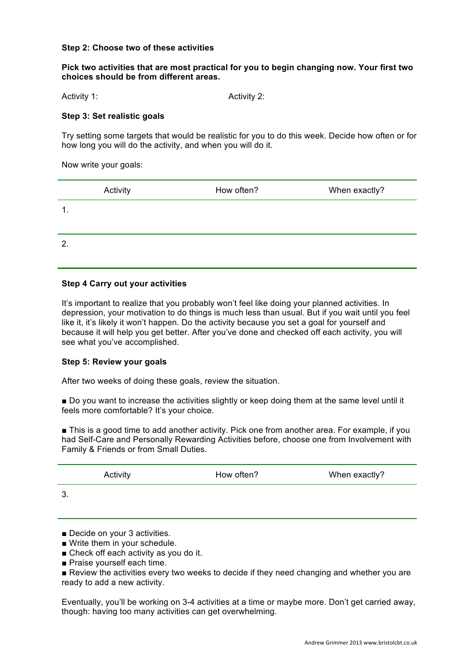#### **Step 2: Choose two of these activities**

#### **Pick two activities that are most practical for you to begin changing now. Your first two choices should be from different areas.**

Activity 1: Activity 2:

#### **Step 3: Set realistic goals**

Try setting some targets that would be realistic for you to do this week. Decide how often or for how long you will do the activity, and when you will do it.

Now write your goals:

|               | Activity | How often? | When exactly? |
|---------------|----------|------------|---------------|
| $\mathbf 1$ . |          |            |               |
|               |          |            |               |
| $\mathbf{2}$  |          |            |               |
|               |          |            |               |

#### **Step 4 Carry out your activities**

It's important to realize that you probably won't feel like doing your planned activities. In depression, your motivation to do things is much less than usual. But if you wait until you feel like it, it's likely it won't happen. Do the activity because you set a goal for yourself and because it will help you get better. After you've done and checked off each activity, you will see what you've accomplished.

#### **Step 5: Review your goals**

After two weeks of doing these goals, review the situation.

! Do you want to increase the activities slightly or keep doing them at the same level until it feels more comfortable? It's your choice.

**. This is a good time to add another activity. Pick one from another area. For example, if you** had Self-Care and Personally Rewarding Activities before, choose one from Involvement with Family & Friends or from Small Duties.

|    | Activity | How often? | When exactly? |
|----|----------|------------|---------------|
| J. |          |            |               |

**Decide on your 3 activities.** 

- $\blacksquare$  Write them in your schedule.
- **Exercise Check off each activity as you do it.**
- **Praise yourself each time.**

**E** Review the activities every two weeks to decide if they need changing and whether you are ready to add a new activity.

Eventually, you'll be working on 3-4 activities at a time or maybe more. Don't get carried away, though: having too many activities can get overwhelming.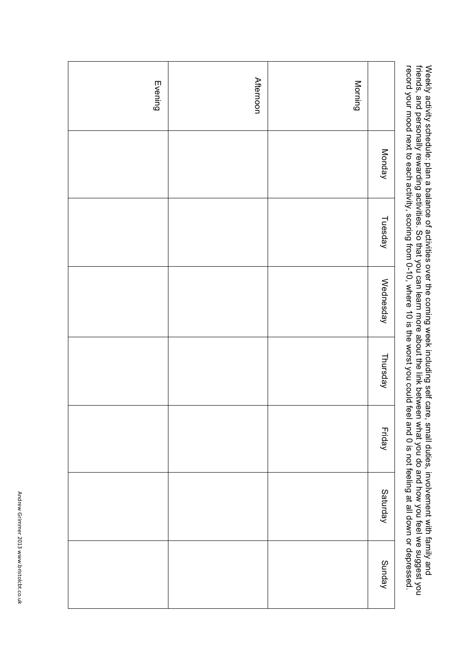| <b>Afternoon</b> | Morning |               | record your mood next to each activity, scoring from 0-10, where 10 is the worst you could feel and 0 is not feeling at all down or depressed.<br>Weekly activity schedule: plan a balance of activities over the coming week including self care, small duties, involvement with family and<br>friends, and personally rewarding activities. So that you can learn more about the |
|------------------|---------|---------------|------------------------------------------------------------------------------------------------------------------------------------------------------------------------------------------------------------------------------------------------------------------------------------------------------------------------------------------------------------------------------------|
|                  |         | Monday        |                                                                                                                                                                                                                                                                                                                                                                                    |
|                  |         | Tuesday       |                                                                                                                                                                                                                                                                                                                                                                                    |
|                  |         | Wednesday     |                                                                                                                                                                                                                                                                                                                                                                                    |
|                  |         | Thursday      |                                                                                                                                                                                                                                                                                                                                                                                    |
|                  |         | <b>Friday</b> |                                                                                                                                                                                                                                                                                                                                                                                    |
|                  |         | Saturday      |                                                                                                                                                                                                                                                                                                                                                                                    |
|                  |         | Sunday        |                                                                                                                                                                                                                                                                                                                                                                                    |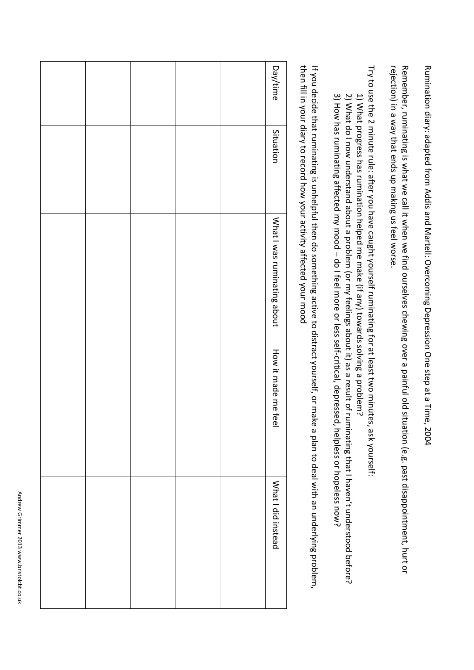Rumination diary: adapted from Addis and Martell: Overcoming Depression One step at a Time, 2004

rejection) in a way that ends up making us feel worse. Remember, ruminating is what we call it when we find ourselves chewing over a painful old situation (e.g. past disappointment, hurt or

Try to use the 2 minute rule: after you have caught yourself ruminating for at least two minutes, ask yourself.

- 1) What progress has rumination helped me make (if any) towards solving a problem?
- 3) How has ruminating affected my mood do I feel more or less self-critical, depressed, helpless or hopeless now? 2) What do I now understand about a problem (or my feelings about it) as a result of ruminating that I haven't understood before?

then fill in your diary to record how your activity affected your mood If you decide that ruminating is unhelpful then do something active to distract yourself, or make a plan to deal with an underlying problem,

Day/time

Situation

What I was ruminating about

How it made me fee

What I did insteac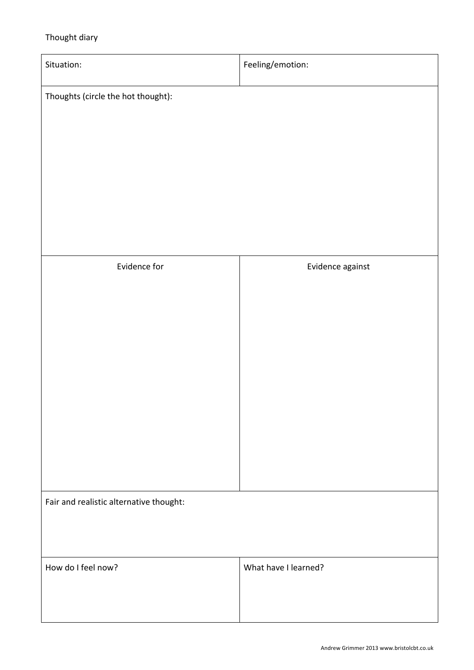# Thought diary

| Situation:                              | Feeling/emotion:     |
|-----------------------------------------|----------------------|
| Thoughts (circle the hot thought):      |                      |
|                                         |                      |
|                                         |                      |
|                                         |                      |
|                                         |                      |
|                                         |                      |
| Evidence for                            | Evidence against     |
|                                         |                      |
|                                         |                      |
|                                         |                      |
|                                         |                      |
|                                         |                      |
|                                         |                      |
|                                         |                      |
| Fair and realistic alternative thought: |                      |
|                                         |                      |
| How do I feel now?                      | What have I learned? |
|                                         |                      |
|                                         |                      |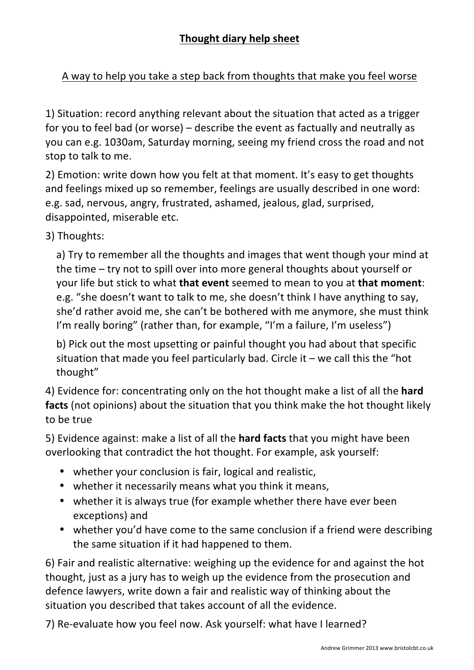# A way to help you take a step back from thoughts that make you feel worse

1) Situation: record anything relevant about the situation that acted as a trigger for you to feel bad (or worse) – describe the event as factually and neutrally as you can e.g. 1030am, Saturday morning, seeing my friend cross the road and not stop to talk to me.

2) Emotion: write down how you felt at that moment. It's easy to get thoughts and feelings mixed up so remember, feelings are usually described in one word: e.g. sad, nervous, angry, frustrated, ashamed, jealous, glad, surprised, disappointed, miserable etc.

3) Thoughts:

a) Try to remember all the thoughts and images that went though your mind at the time – try not to spill over into more general thoughts about yourself or vour life but stick to what that event seemed to mean to you at that moment: e.g. "she doesn't want to talk to me, she doesn't think I have anything to say, she'd rather avoid me, she can't be bothered with me anymore, she must think I'm really boring" (rather than, for example, "I'm a failure, I'm useless")

b) Pick out the most upsetting or painful thought you had about that specific situation that made you feel particularly bad. Circle it  $-$  we call this the "hot thought"

4) Evidence for: concentrating only on the hot thought make a list of all the hard facts (not opinions) about the situation that you think make the hot thought likely to be true

5) Evidence against: make a list of all the **hard facts** that you might have been overlooking that contradict the hot thought. For example, ask yourself:

- whether your conclusion is fair, logical and realistic,
- whether it necessarily means what you think it means,
- whether it is always true (for example whether there have ever been exceptions) and
- whether you'd have come to the same conclusion if a friend were describing the same situation if it had happened to them.

6) Fair and realistic alternative: weighing up the evidence for and against the hot thought, just as a jury has to weigh up the evidence from the prosecution and defence lawyers, write down a fair and realistic way of thinking about the situation you described that takes account of all the evidence.

7) Re-evaluate how you feel now. Ask yourself: what have I learned?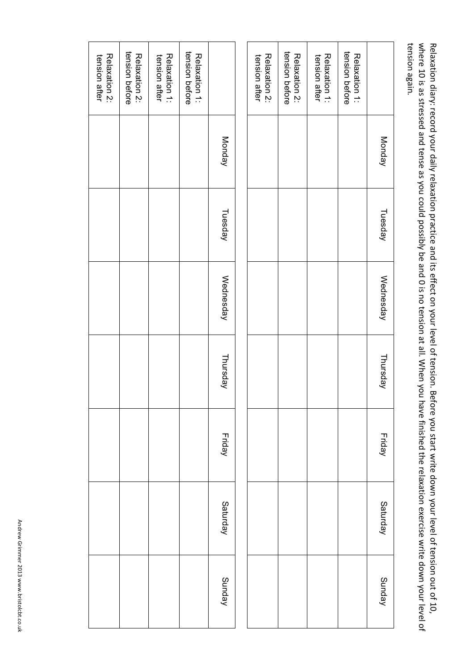tension again. where 10 is as stressed and tense as you could possibly be and 0 is no tension at all. When you have finished the relaxation exercise write down your level of Relaxation diary: record your daily relaxation practice and its effect on your level of tension. Before you start write down your level of tension out of 10, tension again. where  $10$  is as stressed and tense as you could possibly Relaxation diary: record your daily relaxation practice and its seffect on your level of tension. Before you start write down your level of tension De and O is no tension at all: When you have finished the relaxation exercise write down your level of

| コーニー・ニュー |               | Relaxation 2:<br>tension after | tension before<br>Relaxation 2: | Relaxation 1:<br>tension after | tension before<br>Relaxation 1: |               |
|----------|---------------|--------------------------------|---------------------------------|--------------------------------|---------------------------------|---------------|
|          | Monday        |                                |                                 |                                |                                 | Monday        |
|          | Tuesday       |                                |                                 |                                |                                 | Tuesday       |
|          | Wednesday     |                                |                                 |                                |                                 | Wednesday     |
|          | Thursday      |                                |                                 |                                |                                 | Thursday      |
|          | <b>Friday</b> |                                |                                 |                                |                                 | <b>Friday</b> |
|          | Saturday      |                                |                                 |                                |                                 | Saturday      |
|          | Sunday        |                                |                                 |                                |                                 | Sunday        |
|          |               |                                |                                 |                                |                                 |               |

|                                 | Monday | Tuesday | Wednesday | Thursday | Friday | Saturday | Sunday |
|---------------------------------|--------|---------|-----------|----------|--------|----------|--------|
| tension before<br>Relaxation 1: |        |         |           |          |        |          |        |
| tension after<br>Relaxation 1:  |        |         |           |          |        |          |        |
| Relaxation 2:<br>tension before |        |         |           |          |        |          |        |
| Relaxation 2:<br>tension after  |        |         |           |          |        |          |        |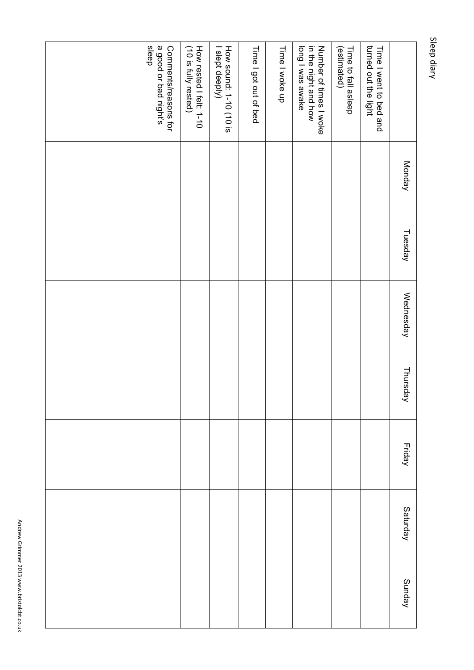|                                                                    | Monday | Tuesday | Wednesday | Thursday | <b>Friday</b> | Saturday | Sunday |
|--------------------------------------------------------------------|--------|---------|-----------|----------|---------------|----------|--------|
| turned out the light<br>Time I went to bed and                     |        |         |           |          |               |          |        |
| (estimated)<br>Time to fall asleep                                 |        |         |           |          |               |          |        |
| in the night and how<br>long I was awake<br>Number of times I woke |        |         |           |          |               |          |        |
| Time I woke up                                                     |        |         |           |          |               |          |        |
| Time I got out of bed                                              |        |         |           |          |               |          |        |
| How sound: 1-10 (10 is<br>I slept deeply)                          |        |         |           |          |               |          |        |
| How rested I felt: 1-10<br>(10 is fully rested)                    |        |         |           |          |               |          |        |
| sleep<br>a good or bad night's<br>Comments/reasons for             |        |         |           |          |               |          |        |

Sleep diary

Sleep diary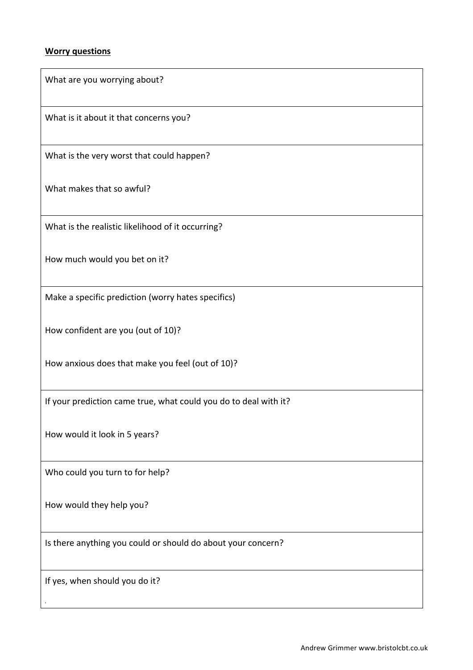# **Worry questions**

| What are you worrying about?                                     |
|------------------------------------------------------------------|
| What is it about it that concerns you?                           |
| What is the very worst that could happen?                        |
| What makes that so awful?                                        |
| What is the realistic likelihood of it occurring?                |
| How much would you bet on it?                                    |
| Make a specific prediction (worry hates specifics)               |
| How confident are you (out of 10)?                               |
| How anxious does that make you feel (out of 10)?                 |
| If your prediction came true, what could you do to deal with it? |
| How would it look in 5 years?                                    |
| Who could you turn to for help?                                  |
| How would they help you?                                         |
| Is there anything you could or should do about your concern?     |
| If yes, when should you do it?                                   |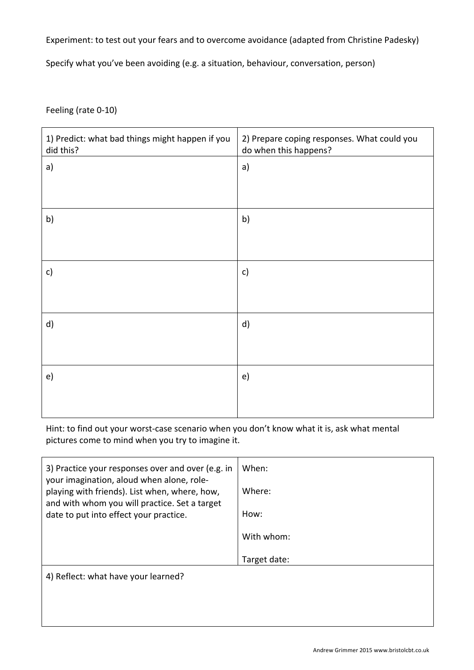# Experiment: to test out your fears and to overcome avoidance (adapted from Christine Padesky)

Specify what you've been avoiding (e.g. a situation, behaviour, conversation, person)

Feeling (rate 0-10)

| 1) Predict: what bad things might happen if you<br>did this? | 2) Prepare coping responses. What could you<br>do when this happens? |
|--------------------------------------------------------------|----------------------------------------------------------------------|
| a)                                                           | a)                                                                   |
|                                                              |                                                                      |
| b)                                                           | b)                                                                   |
|                                                              |                                                                      |
| c)                                                           | $\mathsf{c})$                                                        |
|                                                              |                                                                      |
| d)                                                           | d)                                                                   |
|                                                              |                                                                      |
| e)                                                           | e)                                                                   |
|                                                              |                                                                      |

Hint: to find out your worst-case scenario when you don't know what it is, ask what mental pictures come to mind when you try to imagine it.

| 3) Practice your responses over and over (e.g. in<br>your imagination, aloud when alone, role- | When:        |
|------------------------------------------------------------------------------------------------|--------------|
| playing with friends). List when, where, how,                                                  | Where:       |
| and with whom you will practice. Set a target<br>date to put into effect your practice.        | How:         |
|                                                                                                | With whom:   |
|                                                                                                | Target date: |
| 4) Reflect: what have your learned?                                                            |              |
|                                                                                                |              |
|                                                                                                |              |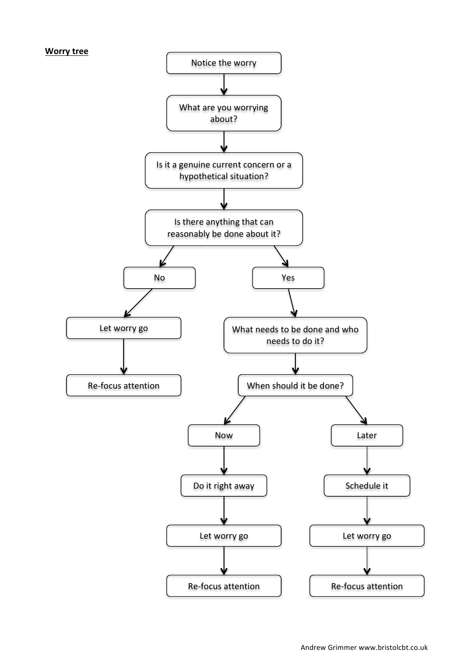### **Worry tree**